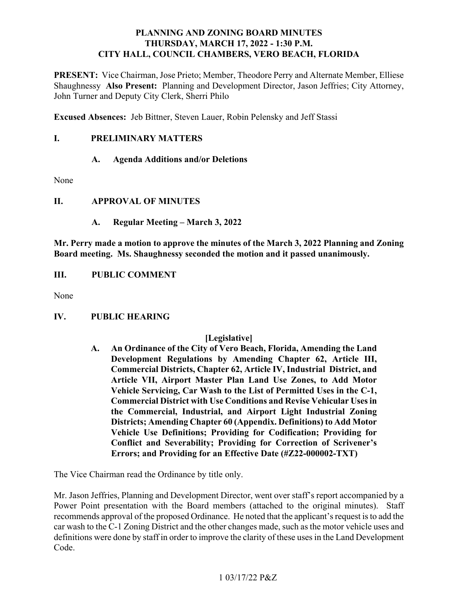# **PLANNING AND ZONING BOARD MINUTES THURSDAY, MARCH 17, 2022 - 1:30 P.M. CITY HALL, COUNCIL CHAMBERS, VERO BEACH, FLORIDA**

PRESENT: Vice Chairman, Jose Prieto; Member, Theodore Perry and Alternate Member, Elliese  Shaughnessy **Also Present:** Planning and Development Director, Jason Jeffries; City Attorney, John Turner and Deputy City Clerk, Sherri Philo

 **Excused Absences:** Jeb Bittner, Steven Lauer, Robin Pelensky and Jeff Stassi

### **I**. **I. PRELIMINARY MATTERS**

# **A. Agenda Additions and/or Deletions**

None

# **II. APPROVAL OF MINUTES**

**A. Regular Meeting – March 3, 2022** 

 **Mr. Perry made a motion to approve the minutes of the March 3, 2022 Planning and Zoning Board meeting. Ms. Shaughnessy seconded the motion and it passed unanimously.** 

**III. III. PUBLIC COMMENT** 

None

#### **IV. PUBLIC HEARING**

# **[Legislative]**

 **Vehicle Servicing, Car Wash to the List of Permitted Uses in the C-1, A. An Ordinance of the City of Vero Beach, Florida, Amending the Land Development Regulations by Amending Chapter 62, Article III, Commercial Districts, Chapter 62, Article IV, Industrial District, and Article VII, Airport Master Plan Land Use Zones, to Add Motor Commercial District with Use Conditions and Revise Vehicular Uses in the Commercial, Industrial, and Airport Light Industrial Zoning Districts; Amending Chapter 60 (Appendix. Definitions) to Add Motor Vehicle Use Definitions; Providing for Codification; Providing for Conflict and Severability; Providing for Correction of Scrivener's Errors; and Providing for an Effective Date (#Z22-000002-TXT)** 

The Vice Chairman read the Ordinance by title only.

 definitions were done by staff in order to improve the clarity of these uses in the Land Development Code. Mr. Jason Jeffries, Planning and Development Director, went over staff's report accompanied by a Power Point presentation with the Board members (attached to the original minutes). Staff recommends approval of the proposed Ordinance. He noted that the applicant's request is to add the car wash to the C-1 Zoning District and the other changes made, such as the motor vehicle uses and  $\mbox{Code.}~~$  1 03/17/22 P&Z